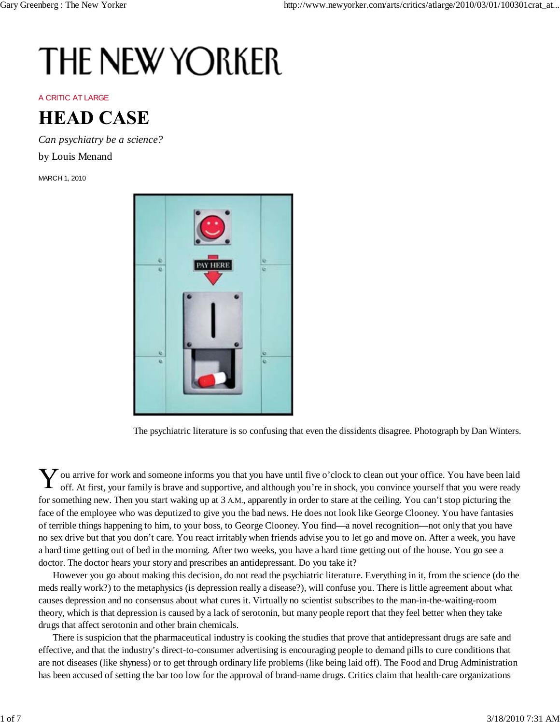## **THE NEW YORKER**

A CRITIC AT LARGE



*Can psychiatry be a science?*

by Louis Menand

MARCH 1, 2010



The psychiatric literature is so confusing that even the dissidents disagree. Photograph by Dan Winters.

 $\sum$  ou arrive for work and someone informs you that you have until five o'clock to clean out your office. You have been laid off. At first your family is brays and connective and the state of the state of the state of th off. At first, your family is brave and supportive, and although you're in shock, you convince yourself that you were ready for something new. Then you start waking up at 3 A.M., apparently in order to stare at the ceiling. You can't stop picturing the face of the employee who was deputized to give you the bad news. He does not look like George Clooney. You have fantasies of terrible things happening to him, to your boss, to George Clooney. You find—a novel recognition—not only that you have no sex drive but that you don't care. You react irritably when friends advise you to let go and move on. After a week, you have a hard time getting out of bed in the morning. After two weeks, you have a hard time getting out of the house. You go see a doctor. The doctor hears your story and prescribes an antidepressant. Do you take it?

However you go about making this decision, do not read the psychiatric literature. Everything in it, from the science (do the meds really work?) to the metaphysics (is depression really a disease?), will confuse you. There is little agreement about what causes depression and no consensus about what cures it. Virtually no scientist subscribes to the man-in-the-waiting-room theory, which is that depression is caused by a lack of serotonin, but many people report that they feel better when they take drugs that affect serotonin and other brain chemicals.

There is suspicion that the pharmaceutical industry is cooking the studies that prove that antidepressant drugs are safe and effective, and that the industry's direct-to-consumer advertising is encouraging people to demand pills to cure conditions that are not diseases (like shyness) or to get through ordinary life problems (like being laid off). The Food and Drug Administration has been accused of setting the bar too low for the approval of brand-name drugs. Critics claim that health-care organizations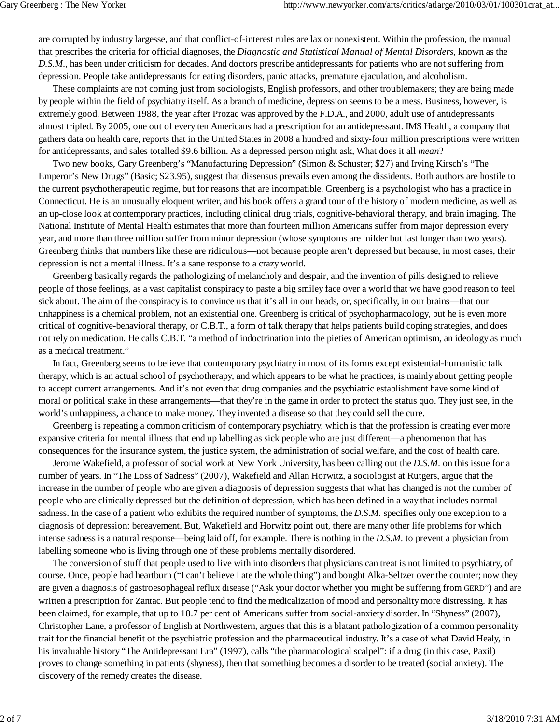are corrupted by industry largesse, and that conflict-of-interest rules are lax or nonexistent. Within the profession, the manual that prescribes the criteria for official diagnoses, the *Diagnostic and Statistical Manual of Mental Disorders*, known as the *D.S.M.*, has been under criticism for decades. And doctors prescribe antidepressants for patients who are not suffering from depression. People take antidepressants for eating disorders, panic attacks, premature ejaculation, and alcoholism.

These complaints are not coming just from sociologists, English professors, and other troublemakers; they are being made by people within the field of psychiatry itself. As a branch of medicine, depression seems to be a mess. Business, however, is extremely good. Between 1988, the year after Prozac was approved by the F.D.A., and 2000, adult use of antidepressants almost tripled. By 2005, one out of every ten Americans had a prescription for an antidepressant. IMS Health, a company that gathers data on health care, reports that in the United States in 2008 a hundred and sixty-four million prescriptions were written for antidepressants, and sales totalled \$9.6 billion. As a depressed person might ask, What does it all *mean*?

Two new books, Gary Greenberg's "Manufacturing Depression" (Simon & Schuster; \$27) and Irving Kirsch's "The Emperor's New Drugs" (Basic; \$23.95), suggest that dissensus prevails even among the dissidents. Both authors are hostile to the current psychotherapeutic regime, but for reasons that are incompatible. Greenberg is a psychologist who has a practice in Connecticut. He is an unusually eloquent writer, and his book offers a grand tour of the history of modern medicine, as well as an up-close look at contemporary practices, including clinical drug trials, cognitive-behavioral therapy, and brain imaging. The National Institute of Mental Health estimates that more than fourteen million Americans suffer from major depression every year, and more than three million suffer from minor depression (whose symptoms are milder but last longer than two years). Greenberg thinks that numbers like these are ridiculous—not because people aren't depressed but because, in most cases, their depression is not a mental illness. It's a sane response to a crazy world.

Greenberg basically regards the pathologizing of melancholy and despair, and the invention of pills designed to relieve people of those feelings, as a vast capitalist conspiracy to paste a big smiley face over a world that we have good reason to feel sick about. The aim of the conspiracy is to convince us that it's all in our heads, or, specifically, in our brains—that our unhappiness is a chemical problem, not an existential one. Greenberg is critical of psychopharmacology, but he is even more critical of cognitive-behavioral therapy, or C.B.T., a form of talk therapy that helps patients build coping strategies, and does not rely on medication. He calls C.B.T. "a method of indoctrination into the pieties of American optimism, an ideology as much as a medical treatment."

In fact, Greenberg seems to believe that contemporary psychiatry in most of its forms except existential-humanistic talk therapy, which is an actual school of psychotherapy, and which appears to be what he practices, is mainly about getting people to accept current arrangements. And it's not even that drug companies and the psychiatric establishment have some kind of moral or political stake in these arrangements—that they're in the game in order to protect the status quo. They just see, in the world's unhappiness, a chance to make money. They invented a disease so that they could sell the cure.

Greenberg is repeating a common criticism of contemporary psychiatry, which is that the profession is creating ever more expansive criteria for mental illness that end up labelling as sick people who are just different—a phenomenon that has consequences for the insurance system, the justice system, the administration of social welfare, and the cost of health care.

Jerome Wakefield, a professor of social work at New York University, has been calling out the *D.S.M.* on this issue for a number of years. In "The Loss of Sadness" (2007), Wakefield and Allan Horwitz, a sociologist at Rutgers, argue that the increase in the number of people who are given a diagnosis of depression suggests that what has changed is not the number of people who are clinically depressed but the definition of depression, which has been defined in a way that includes normal sadness. In the case of a patient who exhibits the required number of symptoms, the *D.S.M.* specifies only one exception to a diagnosis of depression: bereavement. But, Wakefield and Horwitz point out, there are many other life problems for which intense sadness is a natural response—being laid off, for example. There is nothing in the *D.S.M.* to prevent a physician from labelling someone who is living through one of these problems mentally disordered.

The conversion of stuff that people used to live with into disorders that physicians can treat is not limited to psychiatry, of course. Once, people had heartburn ("I can't believe I ate the whole thing") and bought Alka-Seltzer over the counter; now they are given a diagnosis of gastroesophageal reflux disease ("Ask your doctor whether you might be suffering from GERD") and are written a prescription for Zantac. But people tend to find the medicalization of mood and personality more distressing. It has been claimed, for example, that up to 18.7 per cent of Americans suffer from social-anxiety disorder. In "Shyness" (2007), Christopher Lane, a professor of English at Northwestern, argues that this is a blatant pathologization of a common personality trait for the financial benefit of the psychiatric profession and the pharmaceutical industry. It's a case of what David Healy, in his invaluable history "The Antidepressant Era" (1997), calls "the pharmacological scalpel": if a drug (in this case, Paxil) proves to change something in patients (shyness), then that something becomes a disorder to be treated (social anxiety). The discovery of the remedy creates the disease.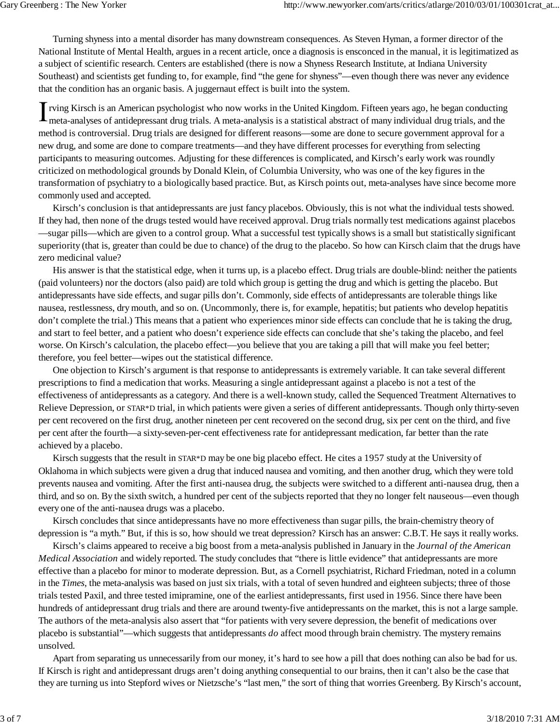Turning shyness into a mental disorder has many downstream consequences. As Steven Hyman, a former director of the National Institute of Mental Health, argues in a recent article, once a diagnosis is ensconced in the manual, it is legitimatized as a subject of scientific research. Centers are established (there is now a Shyness Research Institute, at Indiana University Southeast) and scientists get funding to, for example, find "the gene for shyness"—even though there was never any evidence that the condition has an organic basis. A juggernaut effect is built into the system.

rving Kirsch is an American psychologist who now works in the United Kingdom. Fifteen years ago, he began conducting meta-analyses of antidepressant drug trials. A meta-analysis is a statistical abstract of many individual drug trials, and the method is controversial. Drug trials are designed for different reasons—some are done to secure government approval for a new drug, and some are done to compare treatments—and they have different processes for everything from selecting participants to measuring outcomes. Adjusting for these differences is complicated, and Kirsch's early work was roundly criticized on methodological grounds by Donald Klein, of Columbia University, who was one of the key figures in the transformation of psychiatry to a biologically based practice. But, as Kirsch points out, meta-analyses have since become more commonly used and accepted.

Kirsch's conclusion is that antidepressants are just fancy placebos. Obviously, this is not what the individual tests showed. If they had, then none of the drugs tested would have received approval. Drug trials normally test medications against placebos —sugar pills—which are given to a control group. What a successful test typically shows is a small but statistically significant superiority (that is, greater than could be due to chance) of the drug to the placebo. So how can Kirsch claim that the drugs have zero medicinal value?

His answer is that the statistical edge, when it turns up, is a placebo effect. Drug trials are double-blind: neither the patients (paid volunteers) nor the doctors (also paid) are told which group is getting the drug and which is getting the placebo. But antidepressants have side effects, and sugar pills don't. Commonly, side effects of antidepressants are tolerable things like nausea, restlessness, dry mouth, and so on. (Uncommonly, there is, for example, hepatitis; but patients who develop hepatitis don't complete the trial.) This means that a patient who experiences minor side effects can conclude that he is taking the drug, and start to feel better, and a patient who doesn't experience side effects can conclude that she's taking the placebo, and feel worse. On Kirsch's calculation, the placebo effect—you believe that you are taking a pill that will make you feel better; therefore, you feel better—wipes out the statistical difference.

One objection to Kirsch's argument is that response to antidepressants is extremely variable. It can take several different prescriptions to find a medication that works. Measuring a single antidepressant against a placebo is not a test of the effectiveness of antidepressants as a category. And there is a well-known study, called the Sequenced Treatment Alternatives to Relieve Depression, or STAR\*D trial, in which patients were given a series of different antidepressants. Though only thirty-seven per cent recovered on the first drug, another nineteen per cent recovered on the second drug, six per cent on the third, and five per cent after the fourth—a sixty-seven-per-cent effectiveness rate for antidepressant medication, far better than the rate achieved by a placebo.

Kirsch suggests that the result in STAR\*D may be one big placebo effect. He cites a 1957 study at the University of Oklahoma in which subjects were given a drug that induced nausea and vomiting, and then another drug, which they were told prevents nausea and vomiting. After the first anti-nausea drug, the subjects were switched to a different anti-nausea drug, then a third, and so on. By the sixth switch, a hundred per cent of the subjects reported that they no longer felt nauseous—even though every one of the anti-nausea drugs was a placebo.

Kirsch concludes that since antidepressants have no more effectiveness than sugar pills, the brain-chemistry theory of depression is "a myth." But, if this is so, how should we treat depression? Kirsch has an answer: C.B.T. He says it really works.

Kirsch's claims appeared to receive a big boost from a meta-analysis published in January in the *Journal of the American Medical Association* and widely reported. The study concludes that "there is little evidence" that antidepressants are more effective than a placebo for minor to moderate depression. But, as a Cornell psychiatrist, Richard Friedman, noted in a column in the *Times*, the meta-analysis was based on just six trials, with a total of seven hundred and eighteen subjects; three of those trials tested Paxil, and three tested imipramine, one of the earliest antidepressants, first used in 1956. Since there have been hundreds of antidepressant drug trials and there are around twenty-five antidepressants on the market, this is not a large sample. The authors of the meta-analysis also assert that "for patients with very severe depression, the benefit of medications over placebo is substantial"—which suggests that antidepressants *do* affect mood through brain chemistry. The mystery remains unsolved.

Apart from separating us unnecessarily from our money, it's hard to see how a pill that does nothing can also be bad for us. If Kirsch is right and antidepressant drugs aren't doing anything consequential to our brains, then it can't also be the case that they are turning us into Stepford wives or Nietzsche's "last men," the sort of thing that worries Greenberg. By Kirsch's account,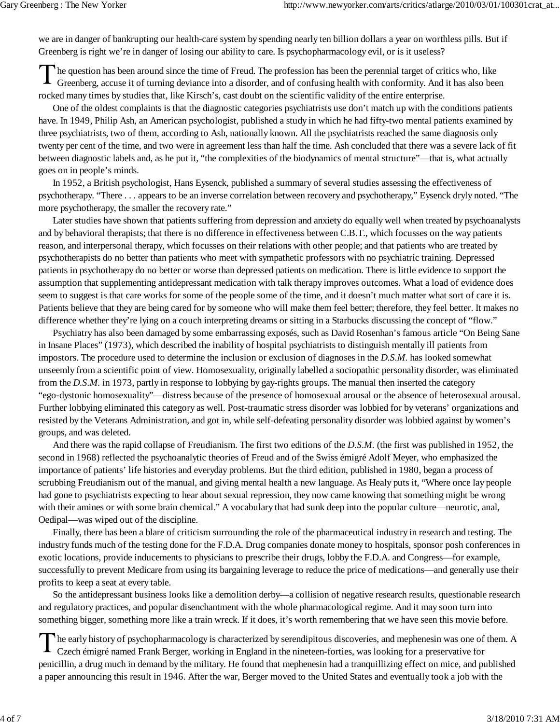we are in danger of bankrupting our health-care system by spending nearly ten billion dollars a year on worthless pills. But if Greenberg is right we're in danger of losing our ability to care. Is psychopharmacology evil, or is it useless?

he question has been around since the time of Freud. The profession has been the perennial target of critics who, like Greenberg, accuse it of turning deviance into a disorder, and of confusing health with conformity. And it has also been rocked many times by studies that, like Kirsch's, cast doubt on the scientific validity of the entire enterprise.

One of the oldest complaints is that the diagnostic categories psychiatrists use don't match up with the conditions patients have. In 1949, Philip Ash, an American psychologist, published a study in which he had fifty-two mental patients examined by three psychiatrists, two of them, according to Ash, nationally known. All the psychiatrists reached the same diagnosis only twenty per cent of the time, and two were in agreement less than half the time. Ash concluded that there was a severe lack of fit between diagnostic labels and, as he put it, "the complexities of the biodynamics of mental structure"—that is, what actually goes on in people's minds.

In 1952, a British psychologist, Hans Eysenck, published a summary of several studies assessing the effectiveness of psychotherapy. "There . . . appears to be an inverse correlation between recovery and psychotherapy," Eysenck dryly noted. "The more psychotherapy, the smaller the recovery rate."

Later studies have shown that patients suffering from depression and anxiety do equally well when treated by psychoanalysts and by behavioral therapists; that there is no difference in effectiveness between C.B.T., which focusses on the way patients reason, and interpersonal therapy, which focusses on their relations with other people; and that patients who are treated by psychotherapists do no better than patients who meet with sympathetic professors with no psychiatric training. Depressed patients in psychotherapy do no better or worse than depressed patients on medication. There is little evidence to support the assumption that supplementing antidepressant medication with talk therapy improves outcomes. What a load of evidence does seem to suggest is that care works for some of the people some of the time, and it doesn't much matter what sort of care it is. Patients believe that they are being cared for by someone who will make them feel better; therefore, they feel better. It makes no difference whether they're lying on a couch interpreting dreams or sitting in a Starbucks discussing the concept of "flow."

Psychiatry has also been damaged by some embarrassing exposés, such as David Rosenhan's famous article "On Being Sane in Insane Places" (1973), which described the inability of hospital psychiatrists to distinguish mentally ill patients from impostors. The procedure used to determine the inclusion or exclusion of diagnoses in the *D.S.M.* has looked somewhat unseemly from a scientific point of view. Homosexuality, originally labelled a sociopathic personality disorder, was eliminated from the *D.S.M.* in 1973, partly in response to lobbying by gay-rights groups. The manual then inserted the category "ego-dystonic homosexuality"—distress because of the presence of homosexual arousal or the absence of heterosexual arousal. Further lobbying eliminated this category as well. Post-traumatic stress disorder was lobbied for by veterans' organizations and resisted by the Veterans Administration, and got in, while self-defeating personality disorder was lobbied against by women's groups, and was deleted.

And there was the rapid collapse of Freudianism. The first two editions of the *D.S.M.* (the first was published in 1952, the second in 1968) reflected the psychoanalytic theories of Freud and of the Swiss émigré Adolf Meyer, who emphasized the importance of patients' life histories and everyday problems. But the third edition, published in 1980, began a process of scrubbing Freudianism out of the manual, and giving mental health a new language. As Healy puts it, "Where once lay people had gone to psychiatrists expecting to hear about sexual repression, they now came knowing that something might be wrong with their amines or with some brain chemical." A vocabulary that had sunk deep into the popular culture—neurotic, anal, Oedipal—was wiped out of the discipline.

Finally, there has been a blare of criticism surrounding the role of the pharmaceutical industry in research and testing. The industry funds much of the testing done for the F.D.A. Drug companies donate money to hospitals, sponsor posh conferences in exotic locations, provide inducements to physicians to prescribe their drugs, lobby the F.D.A. and Congress—for example, successfully to prevent Medicare from using its bargaining leverage to reduce the price of medications—and generally use their profits to keep a seat at every table.

So the antidepressant business looks like a demolition derby—a collision of negative research results, questionable research and regulatory practices, and popular disenchantment with the whole pharmacological regime. And it may soon turn into something bigger, something more like a train wreck. If it does, it's worth remembering that we have seen this movie before.

he early history of psychopharmacology is characterized by serendipitous discoveries, and mephenesin was one of them. A Czech émigré named Frank Berger, working in England in the nineteen-forties, was looking for a preservative for penicillin, a drug much in demand by the military. He found that mephenesin had a tranquillizing effect on mice, and published a paper announcing this result in 1946. After the war, Berger moved to the United States and eventually took a job with the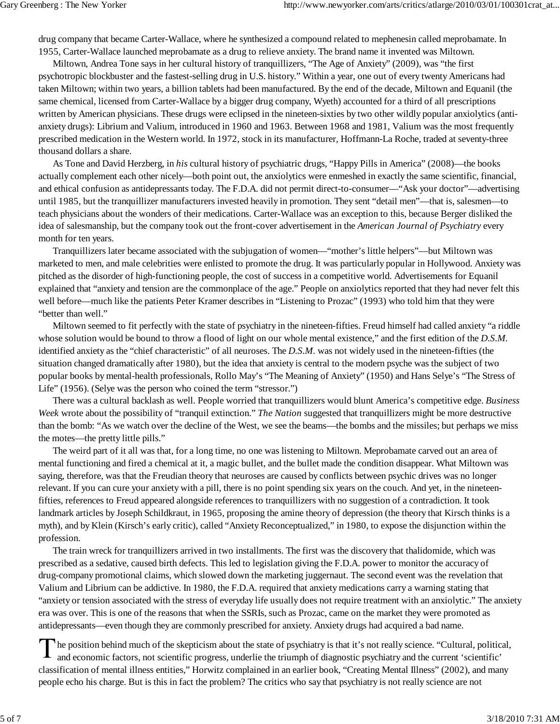drug company that became Carter-Wallace, where he synthesized a compound related to mephenesin called meprobamate. In 1955, Carter-Wallace launched meprobamate as a drug to relieve anxiety. The brand name it invented was Miltown.

Miltown, Andrea Tone says in her cultural history of tranquillizers, "The Age of Anxiety" (2009), was "the first psychotropic blockbuster and the fastest-selling drug in U.S. history." Within a year, one out of every twenty Americans had taken Miltown; within two years, a billion tablets had been manufactured. By the end of the decade, Miltown and Equanil (the same chemical, licensed from Carter-Wallace by a bigger drug company, Wyeth) accounted for a third of all prescriptions written by American physicians. These drugs were eclipsed in the nineteen-sixties by two other wildly popular anxiolytics (antianxiety drugs): Librium and Valium, introduced in 1960 and 1963. Between 1968 and 1981, Valium was the most frequently prescribed medication in the Western world. In 1972, stock in its manufacturer, Hoffmann-La Roche, traded at seventy-three thousand dollars a share.

As Tone and David Herzberg, in *his* cultural history of psychiatric drugs, "Happy Pills in America" (2008)—the books actually complement each other nicely—both point out, the anxiolytics were enmeshed in exactly the same scientific, financial, and ethical confusion as antidepressants today. The F.D.A. did not permit direct-to-consumer—"Ask your doctor"—advertising until 1985, but the tranquillizer manufacturers invested heavily in promotion. They sent "detail men"—that is, salesmen—to teach physicians about the wonders of their medications. Carter-Wallace was an exception to this, because Berger disliked the idea of salesmanship, but the company took out the front-cover advertisement in the *American Journal of Psychiatry* every month for ten years.

Tranquillizers later became associated with the subjugation of women—"mother's little helpers"—but Miltown was marketed to men, and male celebrities were enlisted to promote the drug. It was particularly popular in Hollywood. Anxiety was pitched as the disorder of high-functioning people, the cost of success in a competitive world. Advertisements for Equanil explained that "anxiety and tension are the commonplace of the age." People on anxiolytics reported that they had never felt this well before—much like the patients Peter Kramer describes in "Listening to Prozac" (1993) who told him that they were "better than well."

Miltown seemed to fit perfectly with the state of psychiatry in the nineteen-fifties. Freud himself had called anxiety "a riddle whose solution would be bound to throw a flood of light on our whole mental existence," and the first edition of the *D.S.M.* identified anxiety as the "chief characteristic" of all neuroses. The *D.S.M.* was not widely used in the nineteen-fifties (the situation changed dramatically after 1980), but the idea that anxiety is central to the modern psyche was the subject of two popular books by mental-health professionals, Rollo May's "The Meaning of Anxiety" (1950) and Hans Selye's "The Stress of Life" (1956). (Selye was the person who coined the term "stressor.")

There was a cultural backlash as well. People worried that tranquillizers would blunt America's competitive edge. *Business Week* wrote about the possibility of "tranquil extinction." *The Nation* suggested that tranquillizers might be more destructive than the bomb: "As we watch over the decline of the West, we see the beams—the bombs and the missiles; but perhaps we miss the motes—the pretty little pills."

The weird part of it all was that, for a long time, no one was listening to Miltown. Meprobamate carved out an area of mental functioning and fired a chemical at it, a magic bullet, and the bullet made the condition disappear. What Miltown was saying, therefore, was that the Freudian theory that neuroses are caused by conflicts between psychic drives was no longer relevant. If you can cure your anxiety with a pill, there is no point spending six years on the couch. And yet, in the nineteenfifties, references to Freud appeared alongside references to tranquillizers with no suggestion of a contradiction. It took landmark articles by Joseph Schildkraut, in 1965, proposing the amine theory of depression (the theory that Kirsch thinks is a myth), and by Klein (Kirsch's early critic), called "Anxiety Reconceptualized," in 1980, to expose the disjunction within the profession.

The train wreck for tranquillizers arrived in two installments. The first was the discovery that thalidomide, which was prescribed as a sedative, caused birth defects. This led to legislation giving the F.D.A. power to monitor the accuracy of drug-company promotional claims, which slowed down the marketing juggernaut. The second event was the revelation that Valium and Librium can be addictive. In 1980, the F.D.A. required that anxiety medications carry a warning stating that "anxiety or tension associated with the stress of everyday life usually does not require treatment with an anxiolytic." The anxiety era was over. This is one of the reasons that when the SSRIs, such as Prozac, came on the market they were promoted as antidepressants—even though they are commonly prescribed for anxiety. Anxiety drugs had acquired a bad name.

he position behind much of the skepticism about the state of psychiatry is that it's not really science. "Cultural, political, and economic factors, not scientific progress, underlie the triumph of diagnostic psychiatry and the current 'scientific' classification of mental illness entities," Horwitz complained in an earlier book, "Creating Mental Illness" (2002), and many people echo his charge. But is this in fact the problem? The critics who say that psychiatry is not really science are not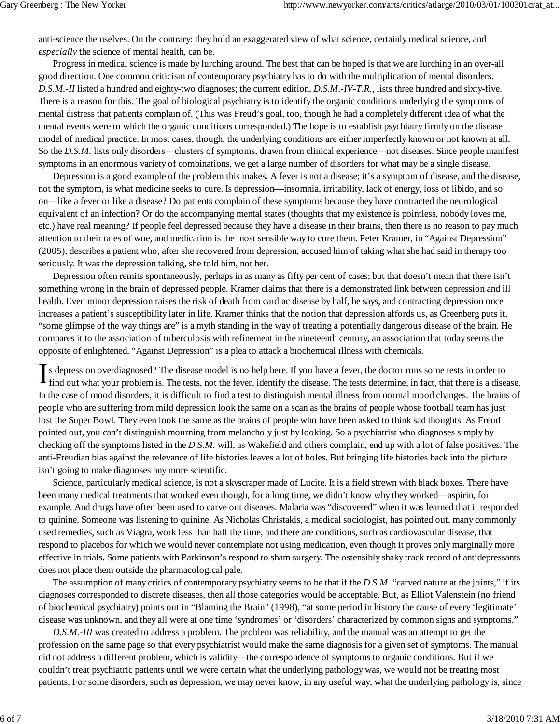anti-science themselves. On the contrary: they hold an exaggerated view of what science, certainly medical science, and *especially* the science of mental health, can be.

Progress in medical science is made by lurching around. The best that can be hoped is that we are lurching in an over-all good direction. One common criticism of contemporary psychiatry has to do with the multiplication of mental disorders. *D.S.M.*-*II* listed a hundred and eighty-two diagnoses; the current edition, *D.S.M.-IV-T.R.*, lists three hundred and sixty-five. There is a reason for this. The goal of biological psychiatry is to identify the organic conditions underlying the symptoms of mental distress that patients complain of. (This was Freud's goal, too, though he had a completely different idea of what the mental events were to which the organic conditions corresponded.) The hope is to establish psychiatry firmly on the disease model of medical practice. In most cases, though, the underlying conditions are either imperfectly known or not known at all. So the *D.S.M.* lists only disorders—clusters of symptoms, drawn from clinical experience—not diseases. Since people manifest symptoms in an enormous variety of combinations, we get a large number of disorders for what may be a single disease.

Depression is a good example of the problem this makes. A fever is not a disease; it's a symptom of disease, and the disease, not the symptom, is what medicine seeks to cure. Is depression—insomnia, irritability, lack of energy, loss of libido, and so on—like a fever or like a disease? Do patients complain of these symptoms because they have contracted the neurological equivalent of an infection? Or do the accompanying mental states (thoughts that my existence is pointless, nobody loves me, etc.) have real meaning? If people feel depressed because they have a disease in their brains, then there is no reason to pay much attention to their tales of woe, and medication is the most sensible way to cure them. Peter Kramer, in "Against Depression" (2005), describes a patient who, after she recovered from depression, accused him of taking what she had said in therapy too seriously. It was the depression talking, she told him, not her.

Depression often remits spontaneously, perhaps in as many as fifty per cent of cases; but that doesn't mean that there isn't something wrong in the brain of depressed people. Kramer claims that there is a demonstrated link between depression and ill health. Even minor depression raises the risk of death from cardiac disease by half, he says, and contracting depression once increases a patient's susceptibility later in life. Kramer thinks that the notion that depression affords us, as Greenberg puts it, "some glimpse of the way things are" is a myth standing in the way of treating a potentially dangerous disease of the brain. He compares it to the association of tuberculosis with refinement in the nineteenth century, an association that today seems the opposite of enlightened. "Against Depression" is a plea to attack a biochemical illness with chemicals.

s depression overdiagnosed? The disease model is no help here. If you have a fever, the doctor runs some tests in order to find out what your problem is. The tests, not the fever, identify the disease. The tests determine, in fact, that there is a disease. In the case of mood disorders, it is difficult to find a test to distinguish mental illness from normal mood changes. The brains of people who are suffering from mild depression look the same on a scan as the brains of people whose football team has just lost the Super Bowl. They even look the same as the brains of people who have been asked to think sad thoughts. As Freud pointed out, you can't distinguish mourning from melancholy just by looking. So a psychiatrist who diagnoses simply by checking off the symptoms listed in the *D.S.M.* will, as Wakefield and others complain, end up with a lot of false positives. The anti-Freudian bias against the relevance of life histories leaves a lot of holes. But bringing life histories back into the picture isn't going to make diagnoses any more scientific.

Science, particularly medical science, is not a skyscraper made of Lucite. It is a field strewn with black boxes. There have been many medical treatments that worked even though, for a long time, we didn't know why they worked—aspirin, for example. And drugs have often been used to carve out diseases. Malaria was "discovered" when it was learned that it responded to quinine. Someone was listening to quinine. As Nicholas Christakis, a medical sociologist, has pointed out, many commonly used remedies, such as Viagra, work less than half the time, and there are conditions, such as cardiovascular disease, that respond to placebos for which we would never contemplate not using medication, even though it proves only marginally more effective in trials. Some patients with Parkinson's respond to sham surgery. The ostensibly shaky track record of antidepressants does not place them outside the pharmacological pale.

The assumption of many critics of contemporary psychiatry seems to be that if the *D.S.M.* "carved nature at the joints," if its diagnoses corresponded to discrete diseases, then all those categories would be acceptable. But, as Elliot Valenstein (no friend of biochemical psychiatry) points out in "Blaming the Brain" (1998), "at some period in history the cause of every 'legitimate' disease was unknown, and they all were at one time 'syndromes' or 'disorders' characterized by common signs and symptoms."

*D.S.M.-III* was created to address a problem. The problem was reliability, and the manual was an attempt to get the profession on the same page so that every psychiatrist would make the same diagnosis for a given set of symptoms. The manual did not address a different problem, which is validity—the correspondence of symptoms to organic conditions. But if we couldn't treat psychiatric patients until we were certain what the underlying pathology was, we would not be treating most patients. For some disorders, such as depression, we may never know, in any useful way, what the underlying pathology is, since